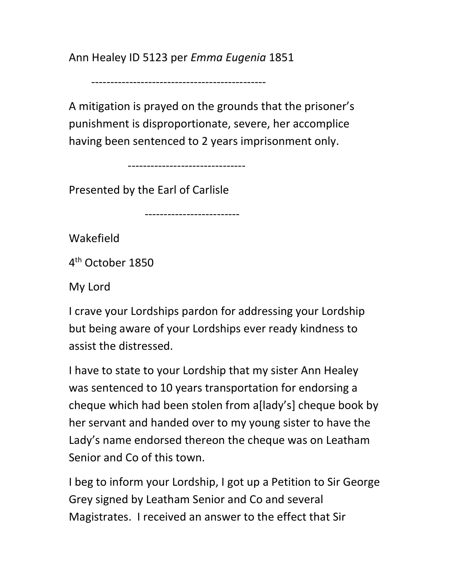Ann Healey ID 5123 per Emma Eugenia 1851

----------------------------------------------

A mitigation is prayed on the grounds that the prisoner's punishment is disproportionate, severe, her accomplice having been sentenced to 2 years imprisonment only.

-------------------------------

-------------------------

Presented by the Earl of Carlisle

Wakefield

4 th October 1850

My Lord

I crave your Lordships pardon for addressing your Lordship but being aware of your Lordships ever ready kindness to assist the distressed.

I have to state to your Lordship that my sister Ann Healey was sentenced to 10 years transportation for endorsing a cheque which had been stolen from a[lady's] cheque book by her servant and handed over to my young sister to have the Lady's name endorsed thereon the cheque was on Leatham Senior and Co of this town.

I beg to inform your Lordship, I got up a Petition to Sir George Grey signed by Leatham Senior and Co and several Magistrates. I received an answer to the effect that Sir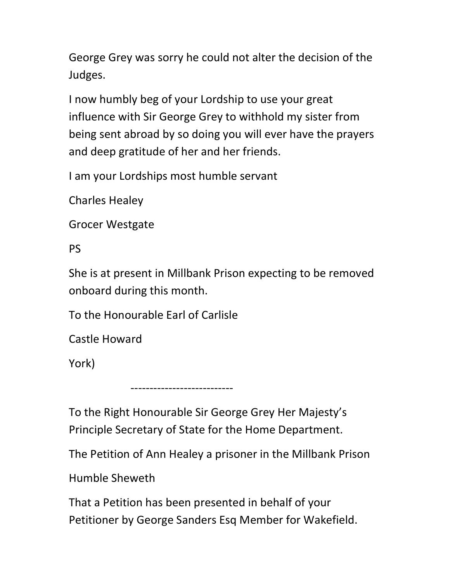George Grey was sorry he could not alter the decision of the Judges.

I now humbly beg of your Lordship to use your great influence with Sir George Grey to withhold my sister from being sent abroad by so doing you will ever have the prayers and deep gratitude of her and her friends.

I am your Lordships most humble servant

Charles Healey

Grocer Westgate

PS

She is at present in Millbank Prison expecting to be removed onboard during this month.

To the Honourable Earl of Carlisle

Castle Howard

York)

To the Right Honourable Sir George Grey Her Majesty's Principle Secretary of State for the Home Department.

---------------------------

The Petition of Ann Healey a prisoner in the Millbank Prison

Humble Sheweth

That a Petition has been presented in behalf of your Petitioner by George Sanders Esq Member for Wakefield.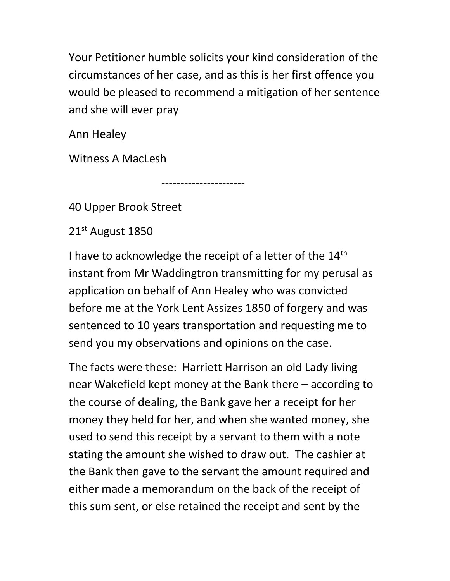Your Petitioner humble solicits your kind consideration of the circumstances of her case, and as this is her first offence you would be pleased to recommend a mitigation of her sentence and she will ever pray

Ann Healey

Witness A MacLesh

40 Upper Brook Street

21st August 1850

I have to acknowledge the receipt of a letter of the 14<sup>th</sup> instant from Mr Waddingtron transmitting for my perusal as application on behalf of Ann Healey who was convicted before me at the York Lent Assizes 1850 of forgery and was sentenced to 10 years transportation and requesting me to send you my observations and opinions on the case.

----------------------

The facts were these: Harriett Harrison an old Lady living near Wakefield kept money at the Bank there – according to the course of dealing, the Bank gave her a receipt for her money they held for her, and when she wanted money, she used to send this receipt by a servant to them with a note stating the amount she wished to draw out. The cashier at the Bank then gave to the servant the amount required and either made a memorandum on the back of the receipt of this sum sent, or else retained the receipt and sent by the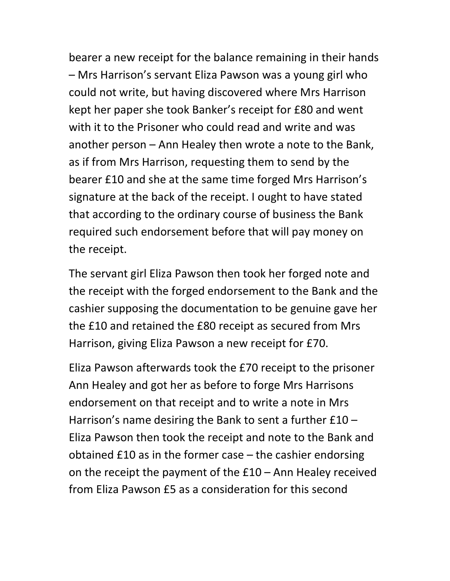bearer a new receipt for the balance remaining in their hands – Mrs Harrison's servant Eliza Pawson was a young girl who could not write, but having discovered where Mrs Harrison kept her paper she took Banker's receipt for £80 and went with it to the Prisoner who could read and write and was another person – Ann Healey then wrote a note to the Bank, as if from Mrs Harrison, requesting them to send by the bearer £10 and she at the same time forged Mrs Harrison's signature at the back of the receipt. I ought to have stated that according to the ordinary course of business the Bank required such endorsement before that will pay money on the receipt.

The servant girl Eliza Pawson then took her forged note and the receipt with the forged endorsement to the Bank and the cashier supposing the documentation to be genuine gave her the £10 and retained the £80 receipt as secured from Mrs Harrison, giving Eliza Pawson a new receipt for £70.

Eliza Pawson afterwards took the £70 receipt to the prisoner Ann Healey and got her as before to forge Mrs Harrisons endorsement on that receipt and to write a note in Mrs Harrison's name desiring the Bank to sent a further £10 – Eliza Pawson then took the receipt and note to the Bank and obtained £10 as in the former case – the cashier endorsing on the receipt the payment of the £10 – Ann Healey received from Eliza Pawson £5 as a consideration for this second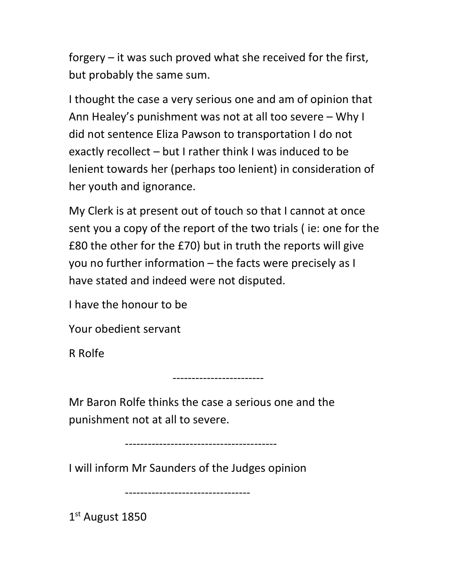forgery – it was such proved what she received for the first, but probably the same sum.

I thought the case a very serious one and am of opinion that Ann Healey's punishment was not at all too severe – Why I did not sentence Eliza Pawson to transportation I do not exactly recollect – but I rather think I was induced to be lenient towards her (perhaps too lenient) in consideration of her youth and ignorance.

My Clerk is at present out of touch so that I cannot at once sent you a copy of the report of the two trials ( ie: one for the £80 the other for the £70) but in truth the reports will give you no further information – the facts were precisely as I have stated and indeed were not disputed.

I have the honour to be

Your obedient servant

R Rolfe

Mr Baron Rolfe thinks the case a serious one and the punishment not at all to severe.

------------------------

----------------------------------------

I will inform Mr Saunders of the Judges opinion

---------------------------------

1 st August 1850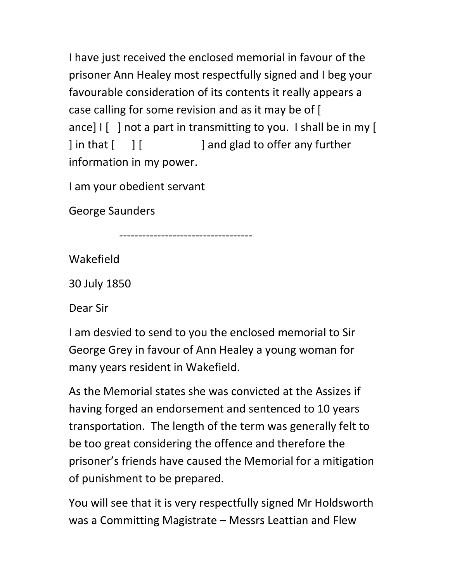I have just received the enclosed memorial in favour of the prisoner Ann Healey most respectfully signed and I beg your favourable consideration of its contents it really appears a case calling for some revision and as it may be of [ ance]  $\left[ \begin{array}{c} \end{array} \right]$  not a part in transmitting to you. I shall be in my [ | in that  $\begin{bmatrix} 1 \\ 1 \end{bmatrix}$  and glad to offer any further information in my power.

I am your obedient servant

George Saunders

-----------------------------------

Wakefield

30 July 1850

Dear Sir

I am desvied to send to you the enclosed memorial to Sir George Grey in favour of Ann Healey a young woman for many years resident in Wakefield.

As the Memorial states she was convicted at the Assizes if having forged an endorsement and sentenced to 10 years transportation. The length of the term was generally felt to be too great considering the offence and therefore the prisoner's friends have caused the Memorial for a mitigation of punishment to be prepared.

You will see that it is very respectfully signed Mr Holdsworth was a Committing Magistrate – Messrs Leattian and Flew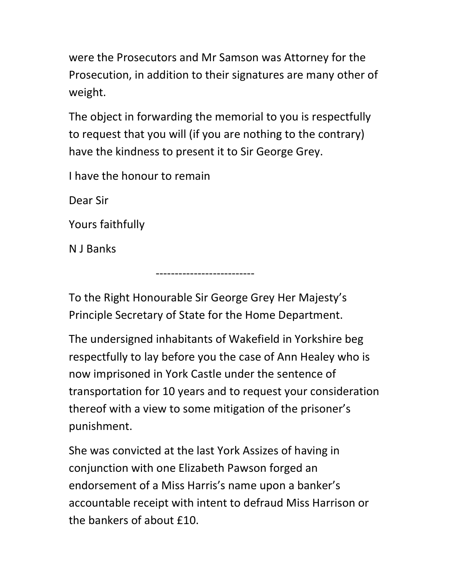were the Prosecutors and Mr Samson was Attorney for the Prosecution, in addition to their signatures are many other of weight.

The object in forwarding the memorial to you is respectfully to request that you will (if you are nothing to the contrary) have the kindness to present it to Sir George Grey.

I have the honour to remain

--------------------------

Dear Sir

Yours faithfully

N J Banks

To the Right Honourable Sir George Grey Her Majesty's Principle Secretary of State for the Home Department.

The undersigned inhabitants of Wakefield in Yorkshire beg respectfully to lay before you the case of Ann Healey who is now imprisoned in York Castle under the sentence of transportation for 10 years and to request your consideration thereof with a view to some mitigation of the prisoner's punishment.

She was convicted at the last York Assizes of having in conjunction with one Elizabeth Pawson forged an endorsement of a Miss Harris's name upon a banker's accountable receipt with intent to defraud Miss Harrison or the bankers of about £10.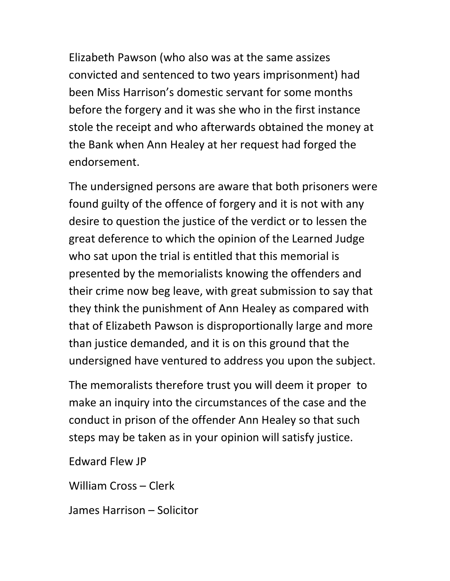Elizabeth Pawson (who also was at the same assizes convicted and sentenced to two years imprisonment) had been Miss Harrison's domestic servant for some months before the forgery and it was she who in the first instance stole the receipt and who afterwards obtained the money at the Bank when Ann Healey at her request had forged the endorsement.

The undersigned persons are aware that both prisoners were found guilty of the offence of forgery and it is not with any desire to question the justice of the verdict or to lessen the great deference to which the opinion of the Learned Judge who sat upon the trial is entitled that this memorial is presented by the memorialists knowing the offenders and their crime now beg leave, with great submission to say that they think the punishment of Ann Healey as compared with that of Elizabeth Pawson is disproportionally large and more than justice demanded, and it is on this ground that the undersigned have ventured to address you upon the subject.

The memoralists therefore trust you will deem it proper to make an inquiry into the circumstances of the case and the conduct in prison of the offender Ann Healey so that such steps may be taken as in your opinion will satisfy justice.

Edward Flew JP

William Cross – Clerk

James Harrison – Solicitor